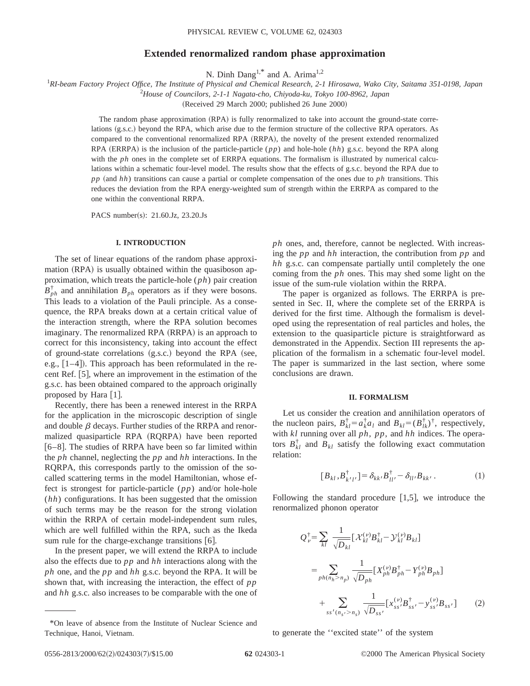# **Extended renormalized random phase approximation**

N. Dinh Dang<sup>1,\*</sup> and A. Arima<sup>1,2</sup>

1 *RI-beam Factory Project Office, The Institute of Physical and Chemical Research, 2-1 Hirosawa, Wako City, Saitama 351-0198, Japan*

2 *House of Councilors, 2-1-1 Nagata-cho, Chiyoda-ku, Tokyo 100-8962, Japan*

(Received 29 March 2000; published 26 June 2000)

The random phase approximation (RPA) is fully renormalized to take into account the ground-state correlations (g.s.c.) beyond the RPA, which arise due to the fermion structure of the collective RPA operators. As compared to the conventional renormalized RPA (RRPA), the novelty of the present extended renormalized RPA (ERRPA) is the inclusion of the particle-particle (*pp*) and hole-hole ( $hh$ ) g.s.c. beyond the RPA along with the *ph* ones in the complete set of ERRPA equations. The formalism is illustrated by numerical calculations within a schematic four-level model. The results show that the effects of g.s.c. beyond the RPA due to  $pp$  (and  $hh$ ) transitions can cause a partial or complete compensation of the ones due to  $ph$  transitions. This reduces the deviation from the RPA energy-weighted sum of strength within the ERRPA as compared to the one within the conventional RRPA.

PACS number(s):  $21.60 \text{ Jz}$ ,  $23.20 \text{ Js}$ 

#### **I. INTRODUCTION**

The set of linear equations of the random phase approximation (RPA) is usually obtained within the quasiboson approximation, which treats the particle-hole (*ph*) pair creation  $B_{ph}^{\dagger}$  and annihilation  $B_{ph}$  operators as if they were bosons. This leads to a violation of the Pauli principle. As a consequence, the RPA breaks down at a certain critical value of the interaction strength, where the RPA solution becomes imaginary. The renormalized RPA (RRPA) is an approach to correct for this inconsistency, taking into account the effect of ground-state correlations  $(g.s.c.)$  beyond the RPA  $(see,$ e.g.,  $[1-4]$ ). This approach has been reformulated in the recent Ref.  $[5]$ , where an improvement in the estimation of the g.s.c. has been obtained compared to the approach originally proposed by Hara  $[1]$ .

Recently, there has been a renewed interest in the RRPA for the application in the microscopic description of single and double  $\beta$  decays. Further studies of the RRPA and renormalized quasiparticle RPA (RQRPA) have been reported  $[6-8]$ . The studies of RRPA have been so far limited within the *ph* channel, neglecting the *pp* and *hh* interactions. In the RQRPA, this corresponds partly to the omission of the socalled scattering terms in the model Hamiltonian, whose effect is strongest for particle-particle (*pp*) and/or hole-hole (*hh*) configurations. It has been suggested that the omission of such terms may be the reason for the strong violation within the RRPA of certain model-independent sum rules, which are well fulfilled within the RPA, such as the Ikeda sum rule for the charge-exchange transitions  $[6]$ .

In the present paper, we will extend the RRPA to include also the effects due to *pp* and *hh* interactions along with the *ph* one, and the *pp* and *hh* g.s.c. beyond the RPA. It will be shown that, with increasing the interaction, the effect of *pp* and *hh* g.s.c. also increases to be comparable with the one of *ph* ones, and, therefore, cannot be neglected. With increasing the *pp* and *hh* interaction, the contribution from *pp* and *hh* g.s.c. can compensate partially until completely the one coming from the *ph* ones. This may shed some light on the issue of the sum-rule violation within the RRPA.

The paper is organized as follows. The ERRPA is presented in Sec. II, where the complete set of the ERRPA is derived for the first time. Although the formalism is developed using the representation of real particles and holes, the extension to the quasiparticle picture is straightforward as demonstrated in the Appendix. Section III represents the application of the formalism in a schematic four-level model. The paper is summarized in the last section, where some conclusions are drawn.

#### **II. FORMALISM**

Let us consider the creation and annihilation operators of the nucleon pairs,  $B_{kl}^{\dagger} = a_k^{\dagger} a_l$  and  $B_{kl} = (B_{lk}^{\dagger})^{\dagger}$ , respectively, with *kl* running over all *ph*, *pp*, and *hh* indices. The operators  $B_{kl}^{\dagger}$  and  $B_{kl}$  satisfy the following exact commutation relation:

$$
[B_{kl}, B_{k'l'}^{\dagger}] = \delta_{kk'} B_{ll'}^{\dagger} - \delta_{ll'} B_{kk'} . \tag{1}
$$

Following the standard procedure  $[1,5]$ , we introduce the renormalized phonon operator

$$
Q_{\nu}^{\dagger} = \sum_{kl} \frac{1}{\sqrt{D_{kl}}} [\mathcal{X}_{kl}^{(\nu)} B_{kl}^{\dagger} - \mathcal{Y}_{kl}^{(\nu)} B_{kl}]
$$
  

$$
= \sum_{ph(n_h > n_p)} \frac{1}{\sqrt{D_{ph}}} [\mathcal{X}_{ph}^{(\nu)} B_{ph}^{\dagger} - \mathcal{Y}_{ph}^{(\nu)} B_{ph}]
$$
  
+ 
$$
\sum_{ss'(n_{s'} > n_{s})} \frac{1}{\sqrt{D_{ss'}}} [\mathcal{X}_{ss'}^{(\nu)} B_{ss'}^{\dagger} - \mathcal{Y}_{ss'}^{(\nu)} B_{ss'}] \qquad (2)
$$

to generate the ''excited state'' of the system

<sup>\*</sup>On leave of absence from the Institute of Nuclear Science and Technique, Hanoi, Vietnam.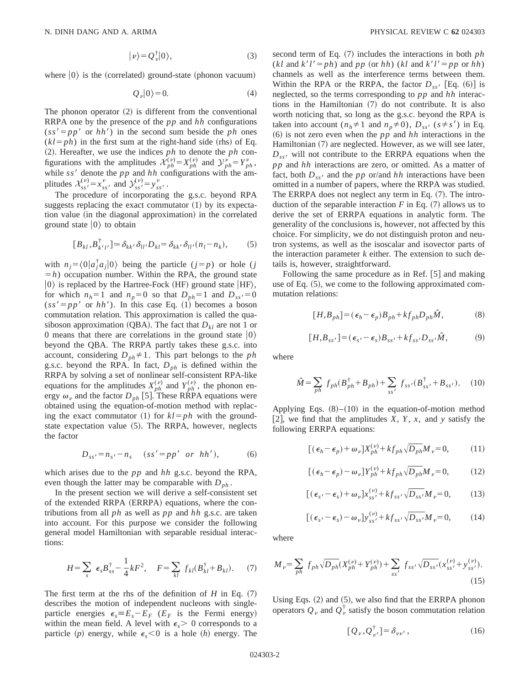$$
|\nu\rangle = Q^{\dagger}_{\nu}|0\rangle,\tag{3}
$$

where  $|0\rangle$  is the (correlated) ground-state (phonon vacuum)

$$
Q_{\nu}|0\rangle = 0.\tag{4}
$$

The phonon operator  $(2)$  is different from the conventional RRPA one by the presence of the *pp* and *hh* configurations  $(s s' = pp'$  or  $hh'$ ) in the second sum beside the *ph* ones  $(kl = ph)$  in the first sum at the right-hand side (rhs) of Eq.  $(2)$ . Hereafter, we use the indices *ph* to denote the *ph* configurations with the amplitudes  $\mathcal{X}_{ph}^{(\nu)} = X_{ph}^{(\nu)}$  and  $\mathcal{Y}_{ph}^{\nu} = Y_{ph}^{\nu}$ , while  $ss'$  denote the  $pp$  and  $hh$  configurations with the amplitudes  $\mathcal{X}_{ss'}^{(\nu)} = x_{ss'}^{\nu}$ , and  $\mathcal{Y}_{ss'}^{(\nu)} = y_{ss'}^{\nu}$ .

The procedure of incorporating the g.s.c. beyond RPA suggests replacing the exact commutator  $(1)$  by its expectation value (in the diagonal approximation) in the correlated ground state  $|0\rangle$  to obtain

$$
[B_{kl}, B_{k'l'}^{\dagger}] \simeq \delta_{kk'} \delta_{ll'} D_{kl} = \delta_{kk'} \delta_{ll'} (n_l - n_k), \tag{5}
$$

with  $n_j = \langle 0 | a_j^\dagger a_j | 0 \rangle$  being the particle  $(j=p)$  or hole (*j*  $= h$ ) occupation number. Within the RPA, the ground state  $|0\rangle$  is replaced by the Hartree-Fock (HF) ground state  $|HF\rangle$ , for which  $n_h=1$  and  $n_p=0$  so that  $D_{ph}=1$  and  $D_{ss}=0$  $(s<sup>s</sup> = pp'$  or *hh'*). In this case Eq. (1) becomes a boson commutation relation. This approximation is called the quasiboson approximation (QBA). The fact that  $D_{kl}$  are not 1 or 0 means that there are correlations in the ground state  $|0\rangle$ beyond the QBA. The RRPA partly takes these g.s.c. into account, considering  $D_{ph} \neq 1$ . This part belongs to the *ph* g.s.c. beyond the RPA. In fact,  $D_{ph}$  is defined within the RRPA by solving a set of nonlinear self-consistent RPA-like equations for the amplitudes  $X_{ph}^{(\nu)}$  and  $Y_{ph}^{(\nu)}$ , the phonon energy  $\omega_{\nu}$  and the factor  $D_{ph}$  [5]. These RRPA equations were obtained using the equation-of-motion method with replacing the exact commutator (1) for  $kl = ph$  with the groundstate expectation value (5). The RRPA, however, neglects the factor

$$
D_{ss'}=n_{s'}-n_s \quad (ss'=pp' \text{ or } hh'), \tag{6}
$$

which arises due to the *pp* and *hh* g.s.c. beyond the RPA, even though the latter may be comparable with  $D_{ph}$ .

In the present section we will derive a self-consistent set of the extended RRPA (ERRPA) equations, where the contributions from all *ph* as well as *pp* and *hh* g.s.c. are taken into account. For this purpose we consider the following general model Hamiltonian with separable residual interactions:

$$
H = \sum_{s} \epsilon_{s} B_{ss}^{\dagger} - \frac{1}{4} kF^{2}, \quad F = \sum_{kl} f_{kl} (B_{kl}^{\dagger} + B_{kl}). \tag{7}
$$

The first term at the rhs of the definition of  $H$  in Eq.  $(7)$ describes the motion of independent nucleons with singleparticle energies  $\epsilon_s \equiv E_s - E_F$  ( $E_F$  is the Fermi energy) within the mean field. A level with  $\epsilon_s > 0$  corresponds to a particle (p) energy, while  $\epsilon_s$  < 0 is a hole (h) energy. The second term of Eq.  $(7)$  includes the interactions in both *ph*  $(kl \text{ and } k'l' = ph)$  and  $pp \text{ (or } hh)$   $(kl \text{ and } k'l' = pp \text{ or } hh)$ channels as well as the interference terms between them. Within the RPA or the RRPA, the factor  $D_{ss}$  [Eq.  $(6)$ ] is neglected, so the terms corresponding to *pp* and *hh* interactions in the Hamiltonian  $(7)$  do not contribute. It is also worth noticing that, so long as the g.s.c. beyond the RPA is taken into account  $(n_h \neq 1$  and  $n_p \neq 0)$ ,  $D_{ss'}$  ( $s \neq s'$ ) in Eq.  $(6)$  is not zero even when the *pp* and *hh* interactions in the Hamiltonian  $(7)$  are neglected. However, as we will see later,  $D_{ss}$  will not contribute to the ERRPA equations when the *pp* and *hh* interactions are zero, or omitted. As a matter of fact, both  $D_{ss}$  and the *pp* or/and *hh* interactions have been omitted in a number of papers, where the RRPA was studied. The ERRPA does not neglect any term in Eq.  $(7)$ . The introduction of the separable interaction  $F$  in Eq.  $(7)$  allows us to derive the set of ERRPA equations in analytic form. The generality of the conclusions is, however, not affected by this choice. For simplicity, we do not distinguish proton and neutron systems, as well as the isoscalar and isovector parts of the interaction parameter  $k$  either. The extension to such details is, however, straightforward.

Following the same procedure as in Ref.  $[5]$  and making use of Eq.  $(5)$ , we come to the following approximated commutation relations:

$$
[H, B_{ph}] = (\epsilon_h - \epsilon_p)B_{ph} + kf_{ph}D_{ph}\hat{M},
$$
\n(8)

$$
[H, B_{ss'}] = (\epsilon_{s'} - \epsilon_s) B_{ss'} + k f_{ss'} D_{ss'} \hat{M}, \qquad (9)
$$

where

$$
\hat{M} = \sum_{ph} f_{ph} (B_{ph}^{\dagger} + B_{ph}) + \sum_{ss'} f_{ss'} (B_{ss'}^{\dagger} + B_{ss'}).
$$
 (10)

Applying Eqs.  $(8)$ – $(10)$  in the equation-of-motion method [2], we find that the amplitudes  $X$ ,  $Y$ ,  $x$ , and  $y$  satisfy the following ERRPA equations:

$$
[(\epsilon_h - \epsilon_p) + \omega_\nu]X_{ph}^{(\nu)} + kf_{ph}\sqrt{D_{ph}}M_\nu = 0, \tag{11}
$$

$$
[(\epsilon_h - \epsilon_p) - \omega_\nu] Y_{ph}^{(\nu)} + k f_{ph} \sqrt{D_{ph}} M_\nu = 0, \qquad (12)
$$

$$
\left[ (\epsilon_{s'} - \epsilon_s) + \omega_{\nu} \right] x_{ss'}^{(\nu)} + k f_{ss'} \sqrt{D_{ss'}} M_{\nu} = 0, \qquad (13)
$$

$$
\left[ \left( \epsilon_{s'} - \epsilon_s \right) - \omega_{\nu} \right] y_{ss'}^{(\nu)} + k f_{ss'} \sqrt{D_{ss'}} M_{\nu} = 0, \tag{14}
$$

where

$$
M_{\nu} = \sum_{ph} f_{ph} \sqrt{D_{ph}} (X_{ph}^{(\nu)} + Y_{ph}^{(\nu)}) + \sum_{ss'} f_{ss'} \sqrt{D_{ss'}} (x_{ss'}^{(\nu)} + y_{ss'}^{(\nu)}).
$$
\n(15)

Using Eqs.  $(2)$  and  $(5)$ , we also find that the ERRPA phonon operators  $Q_{\nu}$  and  $Q_{\nu}^{\dagger}$  satisfy the boson commutation relation

$$
[Q_{\nu}, Q_{\nu'}^{\dagger}] = \delta_{\nu\nu'}, \qquad (16)
$$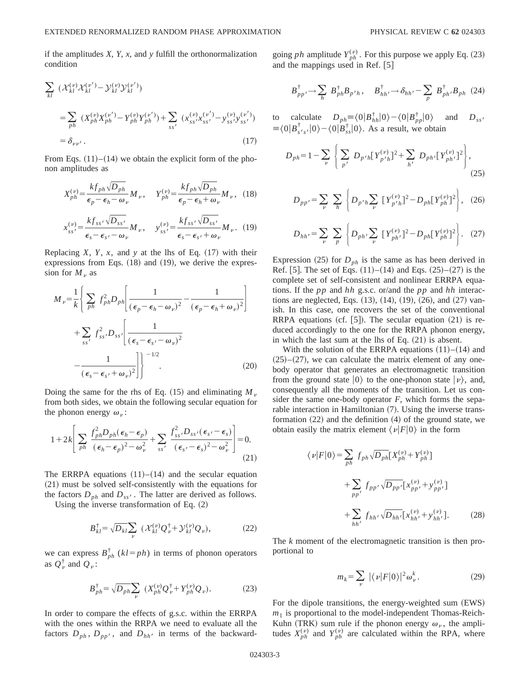if the amplitudes *X*, *Y*, *x*, and *y* fulfill the orthonormalization condition

$$
\sum_{kl} (\mathcal{X}_{kl}^{(\nu)} \mathcal{X}_{kl}^{(\nu')} - \mathcal{Y}_{kl}^{(\nu)} \mathcal{Y}_{kl}^{(\nu')})
$$
\n
$$
= \sum_{ph} (\mathcal{X}_{ph}^{(\nu)} \mathcal{X}_{ph}^{(\nu')} - \mathcal{Y}_{ph}^{(\nu)} \mathcal{Y}_{ph}^{(\nu')}) + \sum_{ss'} (\mathcal{X}_{ss'}^{(\nu)} \mathcal{X}_{ss'}^{(\nu')} - \mathcal{Y}_{ss'}^{(\nu)} \mathcal{Y}_{ss'}^{(\nu')})
$$
\n
$$
= \delta_{\nu\nu'}.
$$
\n(17)

From Eqs.  $(11)–(14)$  we obtain the explicit form of the phonon amplitudes as

$$
X_{ph}^{(\nu)} = \frac{k f_{ph} \sqrt{D_{ph}}}{\epsilon_p - \epsilon_h - \omega_{\nu}} M_{\nu}, \quad Y_{ph}^{(\nu)} = \frac{k f_{ph} \sqrt{D_{ph}}}{\epsilon_p - \epsilon_h + \omega_{\nu}} M_{\nu}, \quad (18)
$$

$$
x_{ss'}^{(\nu)} = \frac{k f_{ss'} \sqrt{D_{ss'}}}{\epsilon_s - \epsilon_{s'} - \omega_{\nu}} M_{\nu}, \quad y_{ss'}^{(\nu)} = \frac{k f_{ss'} \sqrt{D_{ss'}}}{\epsilon_s - \epsilon_{s'} + \omega_{\nu}} M_{\nu}. \tag{19}
$$

Replacing *X*, *Y*, *x*, and *y* at the lhs of Eq.  $(17)$  with their expressions from Eqs.  $(18)$  and  $(19)$ , we derive the expression for  $M_{\nu}$  as

$$
M_{\nu} = \frac{1}{k} \left\{ \sum_{ph} f_{ph}^2 D_{ph} \left[ \frac{1}{(\epsilon_p - \epsilon_h - \omega_{\nu})^2} - \frac{1}{(\epsilon_p - \epsilon_h + \omega_{\nu})^2} \right] + \sum_{ss'} f_{ss'}^2 D_{ss'} \left[ \frac{1}{(\epsilon_s - \epsilon_{s'} - \omega_{\nu})^2} - \frac{1}{(\epsilon_s - \epsilon_{s'} + \omega_{\nu})^2} \right] \right\}^{-1/2}.
$$
\n(20)

Doing the same for the rhs of Eq.  $(15)$  and eliminating  $M_{\nu}$ from both sides, we obtain the following secular equation for the phonon energy  $\omega_{\nu}$ :

$$
1 + 2k \left[ \sum_{ph} \frac{f_{ph}^2 D_{ph}(\epsilon_h - \epsilon_p)}{(\epsilon_h - \epsilon_p)^2 - \omega_{\nu}^2} + \sum_{ss'} \frac{f_{ss'}^2 D_{ss'}(\epsilon_{s'} - \epsilon_s)}{(\epsilon_{s'} - \epsilon_s)^2 - \omega_{\nu}^2} \right] = 0.
$$
\n(21)

The ERRPA equations  $(11)–(14)$  and the secular equation  $(21)$  must be solved self-consistently with the equations for the factors  $D_{ph}$  and  $D_{ss'}$ . The latter are derived as follows.

Using the inverse transformation of Eq.  $(2)$ 

$$
B_{kl}^{\dagger} = \sqrt{D_{kl}} \sum_{\nu} (\mathcal{X}_{kl}^{(\nu)} \mathcal{Q}_{\nu}^{\dagger} + \mathcal{Y}_{kl}^{(\nu)} \mathcal{Q}_{\nu}), \tag{22}
$$

we can express  $B_{ph}^{\dagger}$  ( $kl = ph$ ) in terms of phonon operators as  $Q_{\nu}^{\dagger}$  and  $Q_{\nu}$ :

$$
B_{ph}^{\dagger} = \sqrt{D_{ph}} \sum_{\nu} \left( X_{ph}^{(\nu)} Q_{\nu}^{\dagger} + Y_{ph}^{(\nu)} Q_{\nu} \right). \tag{23}
$$

In order to compare the effects of g.s.c. within the ERRPA with the ones within the RRPA we need to evaluate all the factors  $D_{ph}$ ,  $D_{pp'}$ , and  $D_{hh'}$  in terms of the backward-

going *ph* amplitude  $Y_{ph}^{(v)}$ . For this purpose we apply Eq. (23) and the mappings used in Ref.  $[5]$ 

$$
B_{pp'}^{\dagger} \rightarrow \sum_{h} B_{ph}^{\dagger} B_{p'h}, \quad B_{hh'}^{\dagger} \rightarrow \delta_{hh'} - \sum_{p} B_{ph}^{\dagger}, B_{ph} \tag{24}
$$

to calculate  $D_{ph} \equiv \langle 0 | B_{hh}^{\dagger} | 0 \rangle - \langle 0 | B_{pp}^{\dagger} | 0 \rangle$  and  $D_{ss}$  $\equiv \langle 0|B_{s}^{\dagger}{}_{s}$ ,  $|0\rangle - \langle 0|B_{ss}^{\dagger} |0\rangle$ . As a result, we obtain

$$
D_{ph} = 1 - \sum_{\nu} \left\{ \sum_{p'} D_{p'h} [Y_{p'h}^{(\nu)}]^2 + \sum_{h'} D_{ph'} [Y_{ph'}^{(\nu)}]^2 \right\},\tag{25}
$$

$$
D_{pp'} = \sum_{\nu} \sum_{h} \left\{ D_{p'h} \sum_{\nu} [Y_{p'h}^{(\nu)}]^2 - D_{ph} [Y_{ph}^{(\nu)}]^2 \right\}, (26)
$$

$$
D_{hh'} = \sum_{\nu} \sum_{p} \left\{ D_{ph'} \sum_{\nu} [Y_{ph'}^{(\nu)}]^2 - D_{ph} [Y_{ph}^{(\nu)}]^2 \right\}.
$$
 (27)

Expression  $(25)$  for  $D_{ph}$  is the same as has been derived in Ref. [5]. The set of Eqs.  $(11)–(14)$  and Eqs.  $(25)–(27)$  is the complete set of self-consistent and nonlinear ERRPA equations. If the *pp* and *hh* g.s.c. or/and the *pp* and *hh* interactions are neglected, Eqs.  $(13)$ ,  $(14)$ ,  $(19)$ ,  $(26)$ , and  $(27)$  vanish. In this case, one recovers the set of the conventional RRPA equations (cf.  $[5]$ ). The secular equation  $(21)$  is reduced accordingly to the one for the RRPA phonon energy, in which the last sum at the lhs of Eq.  $(21)$  is absent.

With the solution of the ERRPA equations  $(11)–(14)$  and  $(25)–(27)$ , we can calculate the matrix element of any onebody operator that generates an electromagnetic transition from the ground state  $|0\rangle$  to the one-phonon state  $|\nu\rangle$ , and, consequently all the moments of the transition. Let us consider the same one-body operator *F*, which forms the separable interaction in Hamiltonian  $(7)$ . Using the inverse transformation  $(22)$  and the definition  $(4)$  of the ground state, we obtain easily the matrix element  $\langle \nu|F|0 \rangle$  in the form

$$
\langle \nu | F | 0 \rangle = \sum_{ph} f_{ph} \sqrt{D_{ph}} [X_{ph}^{(\nu)} + Y_{ph}^{(\nu)}] + \sum_{pp'} f_{pp'} \sqrt{D_{pp'} [x_{pp'}^{(\nu)} + y_{pp'}^{(\nu)}] + \sum_{hh'} f_{hh'} \sqrt{D_{hh'}} [x_{hh'}^{(\nu)} + y_{hh'}^{(\nu)}].
$$
 (28)

The *k* moment of the electromagnetic transition is then proportional to

$$
m_k = \sum_{\nu} |\langle \nu | F | 0 \rangle|^2 \omega_{\nu}^k. \tag{29}
$$

For the dipole transitions, the energy-weighted sum (EWS)  $m_1$  is proportional to the model-independent Thomas-Reich-Kuhn (TRK) sum rule if the phonon energy  $\omega_{\nu}$ , the amplitudes  $X_{ph}^{(\nu)}$  and  $Y_{ph}^{(\nu)}$  are calculated within the RPA, where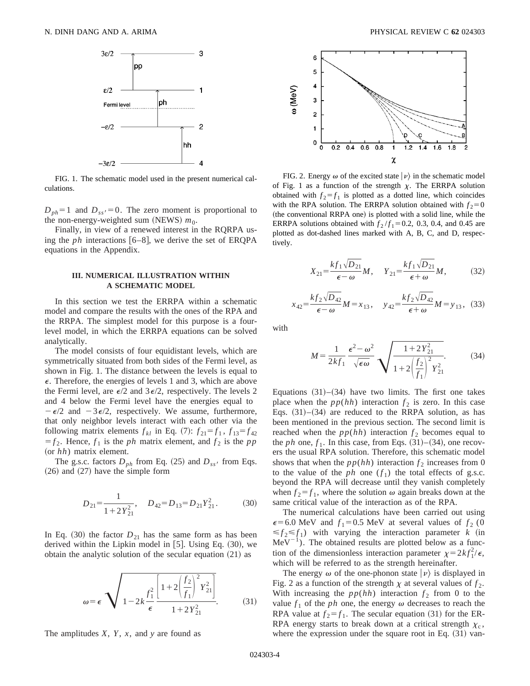

FIG. 1. The schematic model used in the present numerical calculations.

 $D_{ph}$ =1 and  $D_{ss}$ <sup>1</sup> = 0. The zero moment is proportional to the non-energy-weighted sum (NEWS)  $m_0$ .

Finally, in view of a renewed interest in the RQRPA using the *ph* interactions  $[6-8]$ , we derive the set of ERQPA equations in the Appendix.

## **III. NUMERICAL ILLUSTRATION WITHIN A SCHEMATIC MODEL**

In this section we test the ERRPA within a schematic model and compare the results with the ones of the RPA and the RRPA. The simplest model for this purpose is a fourlevel model, in which the ERRPA equations can be solved analytically.

The model consists of four equidistant levels, which are symmetrically situated from both sides of the Fermi level, as shown in Fig. 1. The distance between the levels is equal to  $\epsilon$ . Therefore, the energies of levels 1 and 3, which are above the Fermi level, are  $\epsilon/2$  and  $3\epsilon/2$ , respectively. The levels 2 and 4 below the Fermi level have the energies equal to  $-\epsilon/2$  and  $-3\epsilon/2$ , respectively. We assume, furthermore, that only neighbor levels interact with each other via the following matrix elements  $f_{kl}$  in Eq. (7):  $f_{21} = f_1$ ,  $f_{13} = f_{42}$  $=f_2$ . Hence,  $f_1$  is the *ph* matrix element, and  $f_2$  is the *pp*  $(or hh)$  matrix element.

The g.s.c. factors  $D_{ph}$  from Eq. (25) and  $D_{ss}$  from Eqs.  $(26)$  and  $(27)$  have the simple form

$$
D_{21} = \frac{1}{1 + 2Y_{21}^2}, \quad D_{42} = D_{13} = D_{21}Y_{21}^2. \tag{30}
$$

In Eq.  $(30)$  the factor  $D_{21}$  has the same form as has been derived within the Lipkin model in  $[5]$ . Using Eq.  $(30)$ , we obtain the analytic solution of the secular equation  $(21)$  as

$$
\omega = \epsilon \sqrt{1 - 2k \frac{f_1^2}{\epsilon} \frac{\left[1 + 2\left(\frac{f_2}{f_1}\right)^2 Y_{21}^2\right]}{1 + 2Y_{21}^2}}.
$$
 (31)

The amplitudes *X*, *Y*, *x*, and *y* are found as



FIG. 2. Energy  $\omega$  of the excited state  $|\nu\rangle$  in the schematic model of Fig. 1 as a function of the strength  $\chi$ . The ERRPA solution obtained with  $f_2 = f_1$  is plotted as a dotted line, which coincides with the RPA solution. The ERRPA solution obtained with  $f_2=0$ (the conventional RRPA one) is plotted with a solid line, while the ERRPA solutions obtained with  $f_2/f_1 = 0.2$ , 0.3, 0.4, and 0.45 are plotted as dot-dashed lines marked with A, B, C, and D, respectively.

$$
X_{21} = \frac{k f_1 \sqrt{D_{21}}}{\epsilon - \omega} M, \quad Y_{21} = \frac{k f_1 \sqrt{D_{21}}}{\epsilon + \omega} M,
$$
 (32)

$$
x_{42} = \frac{k f_2 \sqrt{D_{42}}}{\epsilon - \omega} M = x_{13}, \quad y_{42} = \frac{k f_2 \sqrt{D_{42}}}{\epsilon + \omega} M = y_{13}, \quad (33)
$$

with

$$
M = \frac{1}{2kf_1} \frac{\epsilon^2 - \omega^2}{\sqrt{\epsilon \omega}} \sqrt{\frac{1 + 2Y_{21}^2}{1 + 2\left(\frac{f_2}{f_1}\right)^2 Y_{21}^2}}.
$$
 (34)

Equations  $(31)$ – $(34)$  have two limits. The first one takes place when the  $pp(hh)$  interaction  $f_2$  is zero. In this case Eqs.  $(31)$ – $(34)$  are reduced to the RRPA solution, as has been mentioned in the previous section. The second limit is reached when the  $pp(hh)$  interaction  $f_2$  becomes equal to the *ph* one,  $f_1$ . In this case, from Eqs. (31)–(34), one recovers the usual RPA solution. Therefore, this schematic model shows that when the  $pp(hh)$  interaction  $f_2$  increases from 0 to the value of the *ph* one  $(f_1)$  the total effects of g.s.c. beyond the RPA will decrease until they vanish completely when  $f_2 = f_1$ , where the solution  $\omega$  again breaks down at the same critical value of the interaction as of the RPA.

The numerical calculations have been carried out using  $\epsilon$ =6.0 MeV and  $f_1$ =0.5 MeV at several values of  $f_2$  (0  $\leq f_2 \leq f_1$  with varying the interaction parameter *k* (in  $MeV^{-1}$ ). The obtained results are plotted below as a function of the dimensionless interaction parameter  $\chi = 2kf_1^2/\epsilon$ , which will be referred to as the strength hereinafter.

The energy  $\omega$  of the one-phonon state  $|\nu\rangle$  is displayed in Fig. 2 as a function of the strength  $\chi$  at several values of  $f_2$ . With increasing the  $pp(hh)$  interaction  $f_2$  from 0 to the value  $f_1$  of the *ph* one, the energy  $\omega$  decreases to reach the RPA value at  $f_2 = f_1$ . The secular equation (31) for the ER-RPA energy starts to break down at a critical strength  $\chi_c$ , where the expression under the square root in Eq.  $(31)$  van-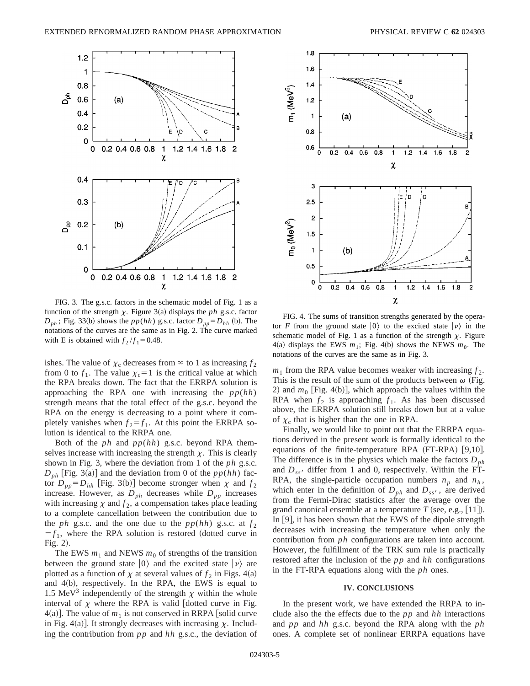

FIG. 3. The g.s.c. factors in the schematic model of Fig. 1 as a function of the strength  $\chi$ . Figure 3(a) displays the *ph* g.s.c. factor  $D_{ph}$ ; Fig. 33(b) shows the *pp*(*hh*) g.s.c. factor  $D_{pp} = D_{hh}$  (b). The notations of the curves are the same as in Fig. 2. The curve marked with E is obtained with  $f_2/f_1 = 0.48$ .

ishes. The value of  $\chi_c$  decreases from  $\infty$  to 1 as increasing  $f_2$ from 0 to  $f_1$ . The value  $\chi_c=1$  is the critical value at which the RPA breaks down. The fact that the ERRPA solution is approaching the RPA one with increasing the *pp*(*hh*) strength means that the total effect of the g.s.c. beyond the RPA on the energy is decreasing to a point where it completely vanishes when  $f_2 = f_1$ . At this point the ERRPA solution is identical to the RRPA one.

Both of the *ph* and *pp*(*hh*) g.s.c. beyond RPA themselves increase with increasing the strength  $\chi$ . This is clearly shown in Fig. 3, where the deviation from 1 of the *ph* g.s.c.  $D_{ph}$  [Fig. 3(a)] and the deviation from 0 of the  $pp(hh)$  factor  $D_{pp} = D_{hh}$  [Fig. 3(b)] become stronger when  $\chi$  and  $f_2$ increase. However, as  $D_{ph}$  decreases while  $D_{pp}$  increases with increasing  $\chi$  and  $f_2$ , a compensation takes place leading to a complete cancellation between the contribution due to the *ph* g.s.c. and the one due to the  $pp(hh)$  g.s.c. at  $f_2$  $=f_1$ , where the RPA solution is restored (dotted curve in Fig.  $2$ ).

The EWS  $m_1$  and NEWS  $m_0$  of strengths of the transition between the ground state  $|0\rangle$  and the excited state  $|\nu\rangle$  are plotted as a function of  $\chi$  at several values of  $f_2$  in Figs. 4(a) and  $4(b)$ , respectively. In the RPA, the EWS is equal to 1.5 MeV<sup>3</sup> independently of the strength  $\chi$  within the whole interval of  $\chi$  where the RPA is valid [dotted curve in Fig.  $4(a)$ ]. The value of  $m_1$  is not conserved in RRPA [solid curve in Fig. 4(a)]. It strongly decreases with increasing  $\chi$ . Including the contribution from *pp* and *hh* g.s.c., the deviation of



FIG. 4. The sums of transition strengths generated by the operator *F* from the ground state  $|0\rangle$  to the excited state  $|v\rangle$  in the schematic model of Fig. 1 as a function of the strength  $\chi$ . Figure  $4(a)$  displays the EWS  $m_1$ ; Fig. 4(b) shows the NEWS  $m_0$ . The notations of the curves are the same as in Fig. 3.

 $m_1$  from the RPA value becomes weaker with increasing  $f_2$ . This is the result of the sum of the products between  $\omega$  (Fig. 2) and  $m_0$  [Fig. 4(b)], which approach the values within the RPA when  $f_2$  is approaching  $f_1$ . As has been discussed above, the ERRPA solution still breaks down but at a value of  $\chi_c$  that is higher than the one in RPA.

Finally, we would like to point out that the ERRPA equations derived in the present work is formally identical to the equations of the finite-temperature RPA  $(FT-RPA)$   $|9,10|$ . The difference is in the physics which make the factors  $D_{ph}$ and  $D_{ss}$  differ from 1 and 0, respectively. Within the FT-RPA, the single-particle occupation numbers  $n_p$  and  $n_h$ , which enter in the definition of  $D_{ph}$  and  $D_{ss}$ , are derived from the Fermi-Dirac statistics after the average over the grand canonical ensemble at a temperature  $T$  (see, e.g., [11]). In  $[9]$ , it has been shown that the EWS of the dipole strength decreases with increasing the temperature when only the contribution from *ph* configurations are taken into account. However, the fulfillment of the TRK sum rule is practically restored after the inclusion of the *pp* and *hh* configurations in the FT-RPA equations along with the *ph* ones.

#### **IV. CONCLUSIONS**

In the present work, we have extended the RRPA to include also the the effects due to the *pp* and *hh* interactions and *pp* and *hh* g.s.c. beyond the RPA along with the *ph* ones. A complete set of nonlinear ERRPA equations have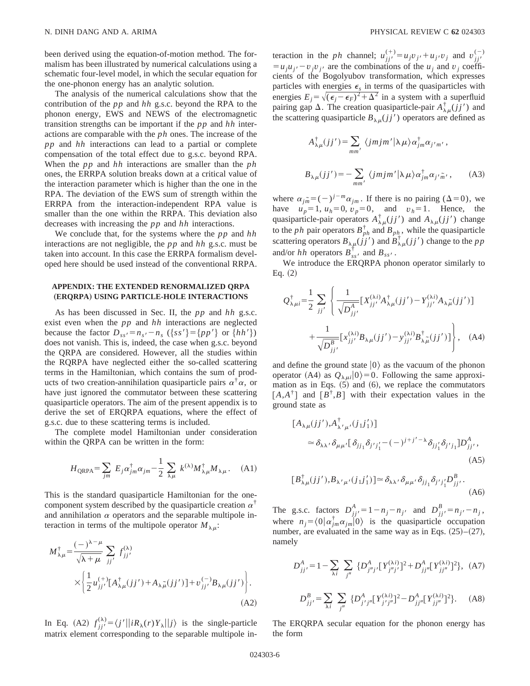been derived using the equation-of-motion method. The formalism has been illustrated by numerical calculations using a schematic four-level model, in which the secular equation for the one-phonon energy has an analytic solution.

The analysis of the numerical calculations show that the contribution of the *pp* and *hh* g.s.c. beyond the RPA to the phonon energy, EWS and NEWS of the electromagnetic transition strengths can be important if the *pp* and *hh* interactions are comparable with the *ph* ones. The increase of the *pp* and *hh* interactions can lead to a partial or complete compensation of the total effect due to g.s.c. beyond RPA. When the *pp* and *hh* interactions are smaller than the *ph* ones, the ERRPA solution breaks down at a critical value of the interaction parameter which is higher than the one in the RPA. The deviation of the EWS sum of strength within the ERRPA from the interaction-independent RPA value is smaller than the one within the RRPA. This deviation also decreases with increasing the *pp* and *hh* interactions.

We conclude that, for the systems where the *pp* and *hh* interactions are not negligible, the *pp* and *hh* g.s.c. must be taken into account. In this case the ERRPA formalism developed here should be used instead of the conventional RRPA.

### **APPENDIX: THE EXTENDED RENORMALIZED QRPA** "**ERQRPA**… **USING PARTICLE-HOLE INTERACTIONS**

As has been discussed in Sec. II, the *pp* and *hh* g.s.c. exist even when the *pp* and *hh* interactions are neglected because the factor  $D_{ss'} = n_{s'} - n_s$  ({ss'} = {pp'} or {*hh'*}) does not vanish. This is, indeed, the case when g.s.c. beyond the QRPA are considered. However, all the studies within the RQRPA have neglected either the so-called scattering terms in the Hamiltonian, which contains the sum of products of two creation-annihilation quasiparticle pairs  $\alpha^{\dagger} \alpha$ , or have just ignored the commutator between these scattering quasiparticle operators. The aim of the present appendix is to derive the set of ERQRPA equations, where the effect of g.s.c. due to these scattering terms is included.

The complete model Hamiltonian under consideration within the QRPA can be written in the form:

$$
H_{\text{QRPA}} = \sum_{jm} E_j \alpha_{jm}^{\dagger} \alpha_{jm} - \frac{1}{2} \sum_{\lambda \mu} k^{(\lambda)} M_{\lambda \mu}^{\dagger} M_{\lambda \mu}.
$$
 (A1)

This is the standard quasiparticle Hamiltonian for the onecomponent system described by the quasiparticle creation  $\alpha^{\dagger}$ and annihilation  $\alpha$  operators and the separable multipole interaction in terms of the multipole operator  $M_{\lambda\mu}$ :

$$
M^{\dagger}_{\lambda\mu} = \frac{(-)^{\lambda-\mu}}{\sqrt{\lambda+\mu}} \sum_{jj'} f_{jj'}^{(\lambda)}
$$
  
 
$$
\times \left\{ \frac{1}{2} u_{jj'}^{(+)} [A^{\dagger}_{\lambda\mu}(jj') + A_{\lambda\mu} (jj')] + v_{jj'}^{(-)} B_{\lambda\mu}(jj') \right\}.
$$
 (A2)

In Eq. (A2)  $f_{jj'}^{(\lambda)} = \langle j' || iR_{\lambda}(r)Y_{\lambda} || j \rangle$  is the single-particle matrix element corresponding to the separable multipole in-

teraction in the *ph* channel;  $u_{jj'}^{(+)} = u_j v_{j'} + u_{j'} v_j$  and  $v_{jj'}^{(-)}$  $= u_j u_j$ ,  $- v_j v_j$  are the combinations of the  $u_j$  and  $v_j$  coefficients of the Bogolyubov transformation, which expresses particles with energies  $\epsilon_s$  in terms of the quasiparticles with energies  $E_i = \sqrt{(\epsilon_i - \epsilon_F)^2 + \Delta^2}$  in a system with a superfluid pairing gap  $\Delta$ . The creation quasiparticle-pair  $A^{\dagger}_{\lambda \mu}(jj')$  and the scattering quasiparticle  $B_{\lambda\mu}(jj')$  operators are defined as

$$
A^{\dagger}_{\lambda\mu}(jj') = \sum_{mm'} \langle jmjm' | \lambda\mu \rangle \alpha^{\dagger}_{jm} \alpha_{j'm'},
$$
  

$$
B_{\lambda\mu}(jj') = -\sum_{mm'} \langle jmjm' | \lambda\mu \rangle \alpha^{\dagger}_{jm} \alpha_{j'\tilde{m}'},
$$
 (A3)

where  $\alpha_{j\tilde{m}} = (-1)^{j-m} \alpha_{jm}$ . If there is no pairing ( $\Delta = 0$ ), we have  $u_p=1$ ,  $u_h=0$ ,  $v_p=0$ , and  $v_h=1$ . Hence, the quasiparticle-pair operators  $A^{\dagger}_{\lambda\mu}(jj')$  and  $A_{\lambda\mu}(jj')$  change to the *ph* pair operators  $B_{ph}^{\dagger}$  and  $B_{ph}$ , while the quasiparticle scattering operators  $B_{\lambda\mu}(jj')$  and  $B_{\lambda\mu}^{\dagger}(jj')$  change to the *pp* and/or *hh* operators  $B_{ss}^{\dagger}$  and  $B_{ss}$ .

We introduce the ERQRPA phonon operator similarly to Eq.  $(2)$ 

$$
Q_{\lambda\mu i}^{\dagger} = \frac{1}{2} \sum_{jj'} \left\{ \frac{1}{\sqrt{D_{jj'}^{A}}} [X_{jj'}^{(\lambda i)} A_{\lambda\mu}^{\dagger}(jj') - Y_{jj'}^{(\lambda i)} A_{\lambda\mu}^{\dagger}(jj')] + \frac{1}{\sqrt{D_{jj'}^{B}}} [X_{jj'}^{(\lambda i)} B_{\lambda\mu}^{\dagger}(jj') - y_{jj'}^{(\lambda i)} B_{\lambda\mu}^{\dagger}(jj')] \right\}, \quad (A4)
$$

and define the ground state  $|0\rangle$  as the vacuum of the phonon operator (A4) as  $Q_{\lambda\mu i}|0\rangle=0$ . Following the same approximation as in Eqs.  $(5)$  and  $(6)$ , we replace the commutators  $[A, A^{\dagger}]$  and  $[B^{\dagger}, B]$  with their expectation values in the ground state as

$$
[A_{\lambda\mu}(jj'), A^{\dagger}_{\lambda'\mu'}(j_1j'_1)]
$$
  
\n
$$
\approx \delta_{\lambda\lambda'}\delta_{\mu\mu'}[\delta_{jj_1}\delta_{j'j'_1} - (-)^{j+j'-\lambda}\delta_{jj'_1}\delta_{j'j_1}]D^A_{jj'},
$$
  
\n(A5)

$$
[B^{\dagger}_{\lambda\mu}(jj'),B_{\lambda'\mu'}(j_1j'_1)] \simeq \delta_{\lambda\lambda'}\delta_{\mu\mu'}\delta_{jj_1}\delta_{j'j'_1}D^B_{jj'}.
$$
 (A6)

The g.s.c. factors  $D_{jj'}^A = 1 - n_j - n_{j'}$  and  $D_{jj'}^B = n_{j'} - n_j$ , where  $n_j = \langle 0 | \alpha_{jm}^{\dagger} \alpha_{jm} | 0 \rangle$  is the quasiparticle occupation number, are evaluated in the same way as in Eqs.  $(25)–(27)$ , namely

$$
D_{jj'}^{A} = 1 - \sum_{\lambda i} \sum_{j''} \{D_{j''j'}^{A} [Y_{j''j'}^{(\lambda i)}]^{2} + D_{jj''}^{A} [Y_{jj''}^{(\lambda i)}]^{2}\}, \quad (A7)
$$
  

$$
D_{jj'}^{B} = \sum_{\lambda i} \sum_{j''} \{D_{j'j''}^{A} [Y_{j'j''}^{(\lambda i)}]^{2} - D_{jj''}^{A} [Y_{jj''}^{(\lambda i)}]^{2}\}. \quad (A8)
$$

The ERQRPA secular equation for the phonon energy has the form